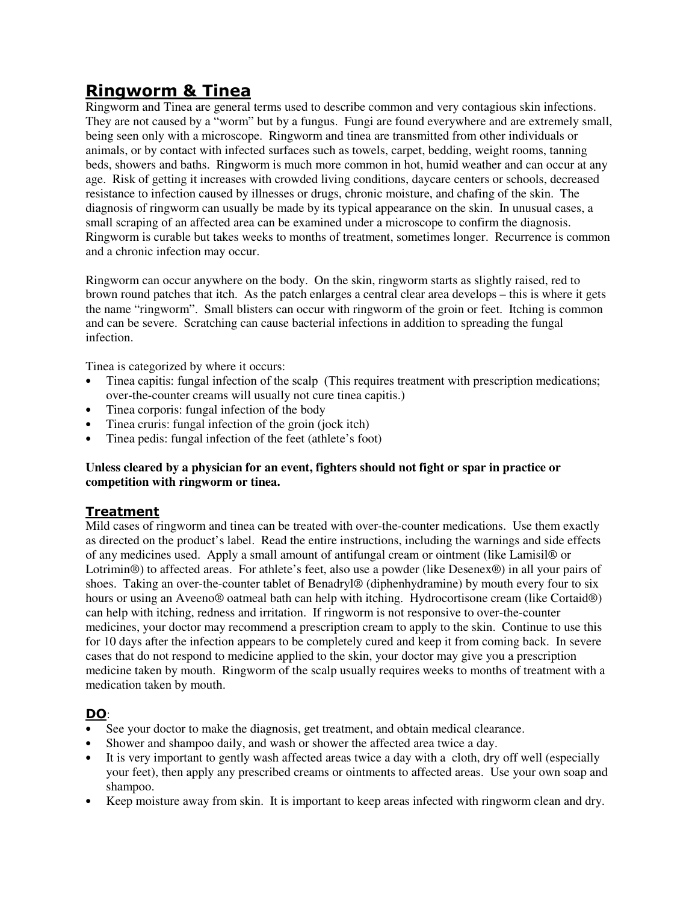# **Ringworm & Tinea**

Ringworm and Tinea are general terms used to describe common and very contagious skin infections. They are not caused by a "worm" but by a fungus. Fungi are found everywhere and are extremely small, being seen only with a microscope. Ringworm and tinea are transmitted from other individuals or animals, or by contact with infected surfaces such as towels, carpet, bedding, weight rooms, tanning beds, showers and baths. Ringworm is much more common in hot, humid weather and can occur at any age. Risk of getting it increases with crowded living conditions, daycare centers or schools, decreased resistance to infection caused by illnesses or drugs, chronic moisture, and chafing of the skin. The diagnosis of ringworm can usually be made by its typical appearance on the skin. In unusual cases, a small scraping of an affected area can be examined under a microscope to confirm the diagnosis. Ringworm is curable but takes weeks to months of treatment, sometimes longer. Recurrence is common and a chronic infection may occur.

Ringworm can occur anywhere on the body. On the skin, ringworm starts as slightly raised, red to brown round patches that itch. As the patch enlarges a central clear area develops – this is where it gets the name "ringworm". Small blisters can occur with ringworm of the groin or feet. Itching is common and can be severe. Scratching can cause bacterial infections in addition to spreading the fungal infection.

Tinea is categorized by where it occurs:

- Tinea capitis: fungal infection of the scalp (This requires treatment with prescription medications; over-the-counter creams will usually not cure tinea capitis.)
- Tinea corporis: fungal infection of the body
- Tinea cruris: fungal infection of the groin (jock itch)
- Tinea pedis: fungal infection of the feet (athlete's foot)

#### **Unless cleared by a physician for an event, fighters should not fight or spar in practice or competition with ringworm or tinea.**

## **Treatment**

Mild cases of ringworm and tinea can be treated with over-the-counter medications. Use them exactly as directed on the product's label. Read the entire instructions, including the warnings and side effects of any medicines used. Apply a small amount of antifungal cream or ointment (like Lamisil® or Lotrimin®) to affected areas. For athlete's feet, also use a powder (like Desenex®) in all your pairs of shoes. Taking an over-the-counter tablet of Benadryl® (diphenhydramine) by mouth every four to six hours or using an Aveeno® oatmeal bath can help with itching. Hydrocortisone cream (like Cortaid®) can help with itching, redness and irritation. If ringworm is not responsive to over-the-counter medicines, your doctor may recommend a prescription cream to apply to the skin. Continue to use this for 10 days after the infection appears to be completely cured and keep it from coming back. In severe cases that do not respond to medicine applied to the skin, your doctor may give you a prescription medicine taken by mouth. Ringworm of the scalp usually requires weeks to months of treatment with a medication taken by mouth.

## **DO**:

- See your doctor to make the diagnosis, get treatment, and obtain medical clearance.
- Shower and shampoo daily, and wash or shower the affected area twice a day.
- It is very important to gently wash affected areas twice a day with a cloth, dry off well (especially your feet), then apply any prescribed creams or ointments to affected areas. Use your own soap and shampoo.
- Keep moisture away from skin. It is important to keep areas infected with ringworm clean and dry.